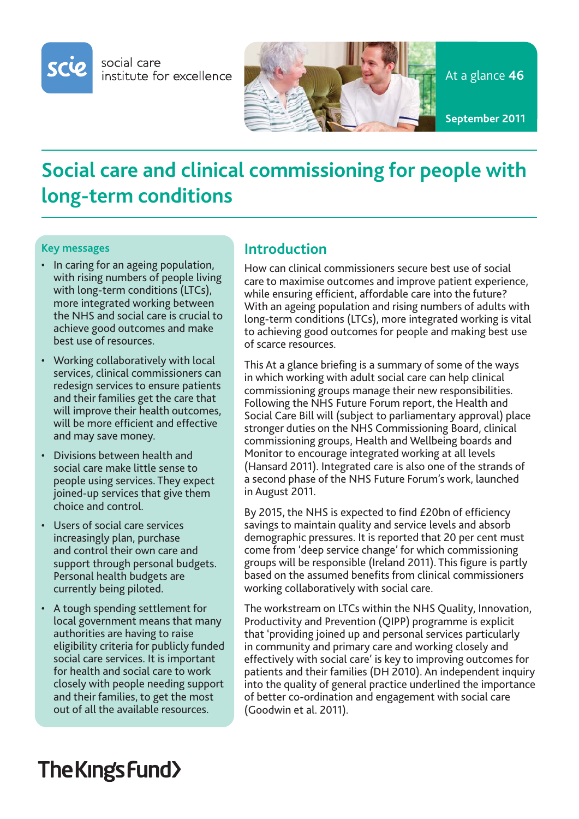

social care institute for excellence



# **Social care and clinical commissioning for people with long-term conditions**

#### **Key messages**

- In caring for an ageing population, with rising numbers of people living with long-term conditions (LTCs), more integrated working between the NHS and social care is crucial to achieve good outcomes and make best use of resources.
- Working collaboratively with local services, clinical commissioners can redesign services to ensure patients and their families get the care that will improve their health outcomes, will be more efficient and effective and may save money.
- Divisions between health and social care make little sense to people using services. They expect joined-up services that give them choice and control.
- Users of social care services increasingly plan, purchase and control their own care and support through personal budgets. Personal health budgets are currently being piloted.
- A tough spending settlement for local government means that many authorities are having to raise eligibility criteria for publicly funded social care services. It is important for health and social care to work closely with people needing support and their families, to get the most out of all the available resources.

### **Introduction**

How can clinical commissioners secure best use of social care to maximise outcomes and improve patient experience, while ensuring efficient, affordable care into the future? With an ageing population and rising numbers of adults with long-term conditions (LTCs), more integrated working is vital to achieving good outcomes for people and making best use of scarce resources.

This At a glance briefing is a summary of some of the ways in which working with adult social care can help clinical commissioning groups manage their new responsibilities. Following the NHS Future Forum report, the Health and Social Care Bill will (subject to parliamentary approval) place stronger duties on the NHS Commissioning Board, clinical commissioning groups, Health and Wellbeing boards and Monitor to encourage integrated working at all levels (Hansard 2011). Integrated care is also one of the strands of a second phase of the NHS Future Forum's work, launched in August 2011.

By 2015, the NHS is expected to find £20bn of efficiency savings to maintain quality and service levels and absorb demographic pressures. It is reported that 20 per cent must come from 'deep service change' for which commissioning groups will be responsible (Ireland 2011). This figure is partly based on the assumed benefits from clinical commissioners working collaboratively with social care.

The workstream on LTCs within the NHS Quality, Innovation, Productivity and Prevention (QIPP) programme is explicit that 'providing joined up and personal services particularly in community and primary care and working closely and effectively with social care' is key to improving outcomes for patients and their families (DH 2010). An independent inquiry into the quality of general practice underlined the importance of better co-ordination and engagement with social care (Goodwin et al. 2011).

# The Kings Fund>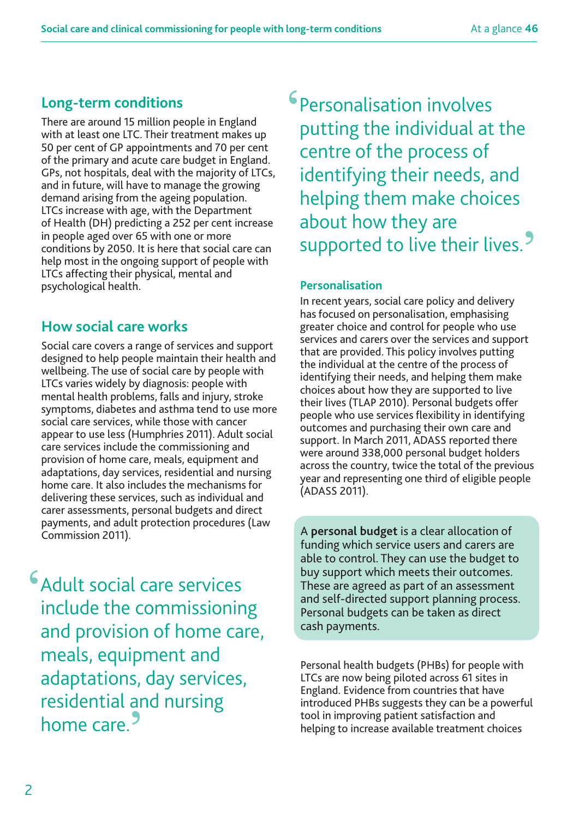# **Long-term conditions**

There are around 15 million people in England with at least one LTC. Their treatment makes up 50 per cent of GP appointments and 70 per cent of the primary and acute care budget in England. GPs, not hospitals, deal with the majority of LTCs, and in future, will have to manage the growing demand arising from the ageing population. LTCs increase with age, with the Department of Health (DH) predicting a 252 per cent increase in people aged over 65 with one or more conditions by 2050. It is here that social care can help most in the ongoing support of people with LTCs affecting their physical, mental and psychological health.

# **How social care works**

Social care covers a range of services and support designed to help people maintain their health and wellbeing. The use of social care by people with LTCs varies widely by diagnosis: people with mental health problems, falls and injury, stroke symptoms, diabetes and asthma tend to use more social care services, while those with cancer appear to use less (Humphries 2011). Adult social care services include the commissioning and provision of home care, meals, equipment and adaptations, day services, residential and nursing home care. It also includes the mechanisms for delivering these services, such as individual and carer assessments, personal budgets and direct payments, and adult protection procedures (Law Commission 2011).

**'**Adult social care services include the commissioning and provision of home care, meals, equipment and adaptations, day services, residential and nursing home care.**'**

**'**Personalisation involves putting the individual at the centre of the process of identifying their needs, and helping them make choices about how they are supported to live their lives.**'**

### **Personalisation**

In recent years, social care policy and delivery has focused on personalisation, emphasising greater choice and control for people who use services and carers over the services and support that are provided. This policy involves putting the individual at the centre of the process of identifying their needs, and helping them make choices about how they are supported to live their lives (TLAP 2010). Personal budgets offer people who use services flexibility in identifying outcomes and purchasing their own care and support. In March 2011, ADASS reported there were around 338,000 personal budget holders across the country, twice the total of the previous year and representing one third of eligible people (ADASS 2011).

A **personal budget** is a clear allocation of funding which service users and carers are able to control. They can use the budget to buy support which meets their outcomes. These are agreed as part of an assessment and self-directed support planning process. Personal budgets can be taken as direct cash payments.

Personal health budgets (PHBs) for people with LTCs are now being piloted across 61 sites in England. Evidence from countries that have introduced PHBs suggests they can be a powerful tool in improving patient satisfaction and helping to increase available treatment choices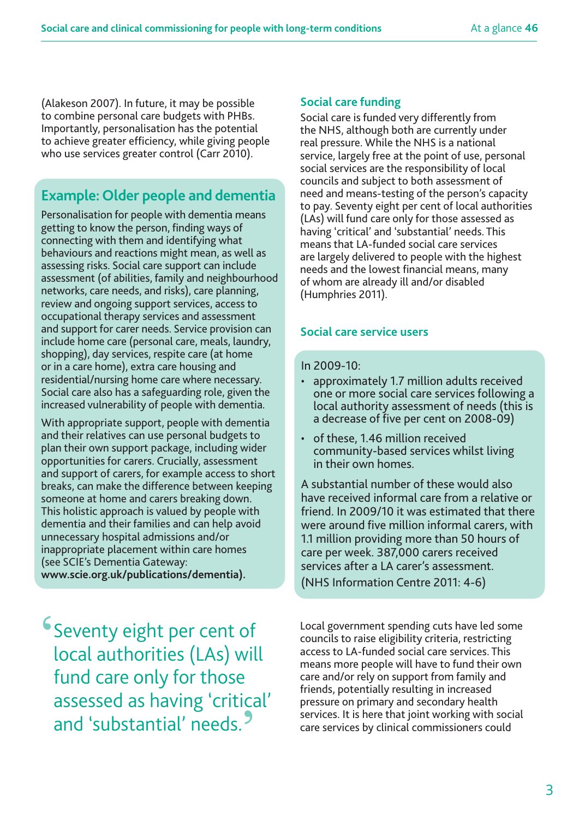(Alakeson 2007). In future, it may be possible to combine personal care budgets with PHBs. Importantly, personalisation has the potential to achieve greater efficiency, while giving people who use services greater control (Carr 2010).

### **Example: Older people and dementia**

Personalisation for people with dementia means getting to know the person, finding ways of connecting with them and identifying what behaviours and reactions might mean, as well as assessing risks. Social care support can include assessment (of abilities, family and neighbourhood networks, care needs, and risks), care planning, review and ongoing support services, access to occupational therapy services and assessment and support for carer needs. Service provision can include home care (personal care, meals, laundry, shopping), day services, respite care (at home or in a care home), extra care housing and residential/nursing home care where necessary. Social care also has a safeguarding role, given the increased vulnerability of people with dementia.

With appropriate support, people with dementia and their relatives can use personal budgets to plan their own support package, including wider opportunities for carers. Crucially, assessment and support of carers, for example access to short breaks, can make the difference between keeping someone at home and carers breaking down. This holistic approach is valued by people with dementia and their families and can help avoid unnecessary hospital admissions and/or inappropriate placement within care homes (see SCIE's Dementia Gateway: **www.scie.org.uk/publications/dementia).**

**'**Seventy eight per cent of local authorities (LAs) will fund care only for those assessed as having 'critical' and 'substantial' needs.**'**

#### **Social care funding**

Social care is funded very differently from the NHS, although both are currently under real pressure. While the NHS is a national service, largely free at the point of use, personal social services are the responsibility of local councils and subject to both assessment of need and means-testing of the person's capacity to pay. Seventy eight per cent of local authorities (LAs) will fund care only for those assessed as having 'critical' and 'substantial' needs. This means that LA-funded social care services are largely delivered to people with the highest needs and the lowest financial means, many of whom are already ill and/or disabled (Humphries 2011).

#### **Social care service users**

#### In 2009-10:

- approximately 1.7 million adults received one or more social care services following a local authority assessment of needs (this is a decrease of five per cent on 2008-09)
- of these, 1.46 million received community-based services whilst living in their own homes.

A substantial number of these would also have received informal care from a relative or friend. In 2009/10 it was estimated that there were around five million informal carers, with 1.1 million providing more than 50 hours of care per week. 387,000 carers received services after a LA carer's assessment. (NHS Information Centre 2011: 4-6)

Local government spending cuts have led some councils to raise eligibility criteria, restricting access to LA-funded social care services. This means more people will have to fund their own care and/or rely on support from family and friends, potentially resulting in increased pressure on primary and secondary health services. It is here that joint working with social care services by clinical commissioners could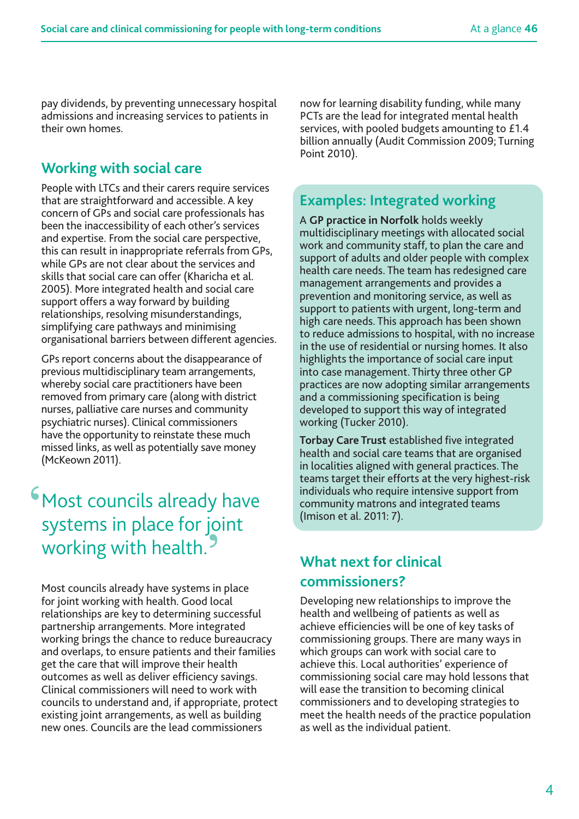pay dividends, by preventing unnecessary hospital admissions and increasing services to patients in their own homes.

## **Working with social care**

People with LTCs and their carers require services that are straightforward and accessible. A key concern of GPs and social care professionals has been the inaccessibility of each other's services and expertise. From the social care perspective, this can result in inappropriate referrals from GPs, while GPs are not clear about the services and skills that social care can offer (Kharicha et al. 2005). More integrated health and social care support offers a way forward by building relationships, resolving misunderstandings, simplifying care pathways and minimising organisational barriers between different agencies.

GPs report concerns about the disappearance of previous multidisciplinary team arrangements, whereby social care practitioners have been removed from primary care (along with district nurses, palliative care nurses and community psychiatric nurses). Clinical commissioners have the opportunity to reinstate these much missed links, as well as potentially save money (McKeown 2011).

# **'**Most councils already have systems in place for joint working with health.**'**

Most councils already have systems in place for joint working with health. Good local relationships are key to determining successful partnership arrangements. More integrated working brings the chance to reduce bureaucracy and overlaps, to ensure patients and their families get the care that will improve their health outcomes as well as deliver efficiency savings. Clinical commissioners will need to work with councils to understand and, if appropriate, protect existing joint arrangements, as well as building new ones. Councils are the lead commissioners

now for learning disability funding, while many PCTs are the lead for integrated mental health services, with pooled budgets amounting to £1.4 billion annually (Audit Commission 2009; Turning Point 2010).

### **Examples: Integrated working**

A **GP practice in Norfolk** holds weekly multidisciplinary meetings with allocated social work and community staff, to plan the care and support of adults and older people with complex health care needs. The team has redesigned care management arrangements and provides a prevention and monitoring service, as well as support to patients with urgent, long-term and high care needs. This approach has been shown to reduce admissions to hospital, with no increase in the use of residential or nursing homes. It also highlights the importance of social care input into case management. Thirty three other GP practices are now adopting similar arrangements and a commissioning specification is being developed to support this way of integrated working (Tucker 2010).

**Torbay Care Trust** established five integrated health and social care teams that are organised in localities aligned with general practices. The teams target their efforts at the very highest-risk individuals who require intensive support from community matrons and integrated teams (Imison et al. 2011: 7).

## **What next for clinical commissioners?**

Developing new relationships to improve the health and wellbeing of patients as well as achieve efficiencies will be one of key tasks of commissioning groups. There are many ways in which groups can work with social care to achieve this. Local authorities' experience of commissioning social care may hold lessons that will ease the transition to becoming clinical commissioners and to developing strategies to meet the health needs of the practice population as well as the individual patient.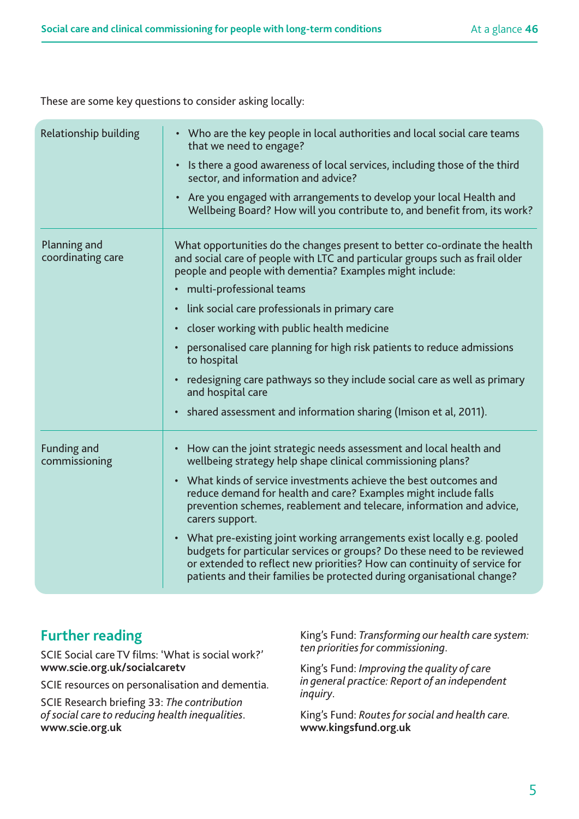These are some key questions to consider asking locally:

| Relationship building               | • Who are the key people in local authorities and local social care teams<br>that we need to engage?<br>Is there a good awareness of local services, including those of the third<br>$\bullet$<br>sector, and information and advice?<br>Are you engaged with arrangements to develop your local Health and<br>Wellbeing Board? How will you contribute to, and benefit from, its work?                                                                                                                                                                                                                                                                                                                  |
|-------------------------------------|----------------------------------------------------------------------------------------------------------------------------------------------------------------------------------------------------------------------------------------------------------------------------------------------------------------------------------------------------------------------------------------------------------------------------------------------------------------------------------------------------------------------------------------------------------------------------------------------------------------------------------------------------------------------------------------------------------|
| Planning and<br>coordinating care   | What opportunities do the changes present to better co-ordinate the health<br>and social care of people with LTC and particular groups such as frail older<br>people and people with dementia? Examples might include:<br>multi-professional teams<br>link social care professionals in primary care<br>$\bullet$<br>closer working with public health medicine<br>$\bullet$<br>personalised care planning for high risk patients to reduce admissions<br>to hospital<br>redesigning care pathways so they include social care as well as primary<br>$\bullet$<br>and hospital care<br>shared assessment and information sharing (Imison et al, 2011).<br>$\bullet$                                      |
| <b>Funding and</b><br>commissioning | How can the joint strategic needs assessment and local health and<br>$\bullet$<br>wellbeing strategy help shape clinical commissioning plans?<br>What kinds of service investments achieve the best outcomes and<br>$\bullet$<br>reduce demand for health and care? Examples might include falls<br>prevention schemes, reablement and telecare, information and advice,<br>carers support.<br>• What pre-existing joint working arrangements exist locally e.g. pooled<br>budgets for particular services or groups? Do these need to be reviewed<br>or extended to reflect new priorities? How can continuity of service for<br>patients and their families be protected during organisational change? |

### **Further reading**

SCIE Social care TV films: 'What is social work?' **www.scie.org.uk/socialcaretv**

SCIE resources on personalisation and dementia.

SCIE Research briefing 33: *The contribution of social care to reducing health inequalities*. **www.scie.org.uk** 

King's Fund: *Transforming our health care system: ten priorities for commissioning*.

King's Fund: *Improving the quality of care in general practice: Report of an independent inquiry*.

King's Fund: *Routes for social and health care.* **www.kingsfund.org.uk**